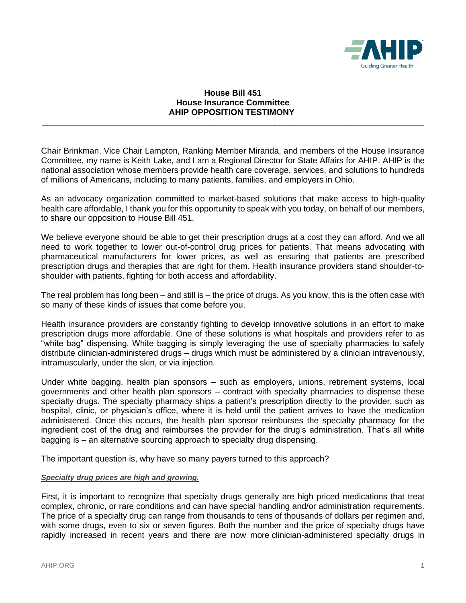

## **House Bill 451 House Insurance Committee AHIP OPPOSITION TESTIMONY**

**\_\_\_\_\_\_\_\_\_\_\_\_\_\_\_\_\_\_\_\_\_\_\_\_\_\_\_\_\_\_\_\_\_\_\_\_\_\_\_\_\_\_\_\_\_\_\_\_\_\_\_\_\_\_\_\_\_\_\_\_\_\_\_\_\_\_\_\_\_\_\_\_\_\_\_\_\_\_\_\_\_\_**

Chair Brinkman, Vice Chair Lampton, Ranking Member Miranda, and members of the House Insurance Committee, my name is Keith Lake, and I am a Regional Director for State Affairs for AHIP. AHIP is the national association whose members provide health care coverage, services, and solutions to hundreds of millions of Americans, including to many patients, families, and employers in Ohio.

As an advocacy organization committed to market-based solutions that make access to high-quality health care affordable, I thank you for this opportunity to speak with you today, on behalf of our members, to share our opposition to House Bill 451.

We believe everyone should be able to get their prescription drugs at a cost they can afford. And we all need to work together to lower out-of-control drug prices for patients. That means advocating with pharmaceutical manufacturers for lower prices, as well as ensuring that patients are prescribed prescription drugs and therapies that are right for them. Health insurance providers stand shoulder-toshoulder with patients, fighting for both access and affordability.

The real problem has long been – and still is – the price of drugs. As you know, this is the often case with so many of these kinds of issues that come before you.

Health insurance providers are constantly fighting to develop innovative solutions in an effort to make prescription drugs more affordable. One of these solutions is what hospitals and providers refer to as "white bag" dispensing. White bagging is simply leveraging the use of specialty pharmacies to safely distribute clinician-administered drugs – drugs which must be administered by a clinician intravenously, intramuscularly, under the skin, or via injection.

Under white bagging, health plan sponsors – such as employers, unions, retirement systems, local governments and other health plan sponsors – contract with specialty pharmacies to dispense these specialty drugs. The specialty pharmacy ships a patient's prescription directly to the provider, such as hospital, clinic, or physician's office, where it is held until the patient arrives to have the medication administered. Once this occurs, the health plan sponsor reimburses the specialty pharmacy for the ingredient cost of the drug and reimburses the provider for the drug's administration. That's all white bagging is – an alternative sourcing approach to specialty drug dispensing.

The important question is, why have so many payers turned to this approach?

## *Specialty drug prices are high and growing.*

First, it is important to recognize that specialty drugs generally are high priced medications that treat complex, chronic, or rare conditions and can have special handling and/or administration requirements. The price of a specialty drug can range from thousands to tens of thousands of dollars per regimen and, with some drugs, even to six or seven figures. Both the number and the price of specialty drugs have rapidly increased in recent years and there are now more clinician-administered specialty drugs in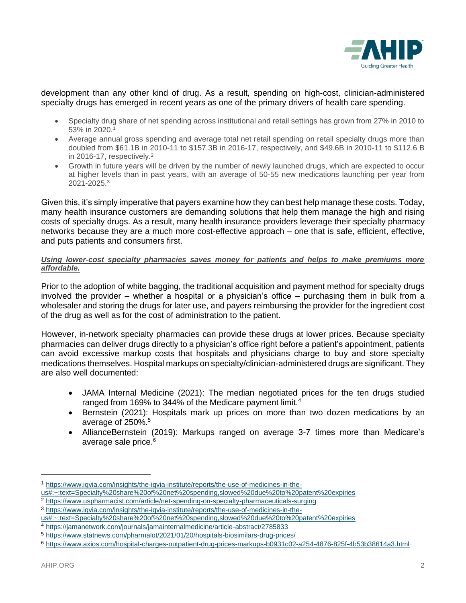

development than any other kind of drug. As a result, spending on high-cost, clinician-administered specialty drugs has emerged in recent years as one of the primary drivers of health care spending.

- Specialty drug share of net spending across institutional and retail settings has grown from 27% in 2010 to 53% in 2020.<sup>1</sup>
- Average annual gross spending and average total net retail spending on retail specialty drugs more than doubled from \$61.1B in 2010-11 to \$157.3B in 2016-17, respectively, and \$49.6B in 2010-11 to \$112.6 B in 2016-17, respectively.<sup>2</sup>
- Growth in future years will be driven by the number of newly launched drugs, which are expected to occur at higher levels than in past years, with an average of 50-55 new medications launching per year from 2021-2025. 3

Given this, it's simply imperative that payers examine how they can best help manage these costs. Today, many health insurance customers are demanding solutions that help them manage the high and rising costs of specialty drugs. As a result, many health insurance providers leverage their specialty pharmacy networks because they are a much more cost-effective approach – one that is safe, efficient, effective, and puts patients and consumers first.

## *Using lower-cost specialty pharmacies saves money for patients and helps to make premiums more affordable.*

Prior to the adoption of white bagging, the traditional acquisition and payment method for specialty drugs involved the provider – whether a hospital or a physician's office – purchasing them in bulk from a wholesaler and storing the drugs for later use, and payers reimbursing the provider for the ingredient cost of the drug as well as for the cost of administration to the patient.

However, in-network specialty pharmacies can provide these drugs at lower prices. Because specialty pharmacies can deliver drugs directly to a physician's office right before a patient's appointment, patients can avoid excessive markup costs that hospitals and physicians charge to buy and store specialty medications themselves. Hospital markups on specialty/clinician-administered drugs are significant. They are also well documented:

- JAMA Internal Medicine (2021): The median negotiated prices for the ten drugs studied ranged from 169% to 344% of the Medicare payment limit.<sup>4</sup>
- Bernstein (2021): Hospitals mark up prices on more than two dozen medications by an average of 250%.<sup>5</sup>
- AllianceBernstein (2019): Markups ranged on average 3-7 times more than Medicare's average sale price.<sup>6</sup>

<sup>1</sup> [https://www.iqvia.com/insights/the-iqvia-institute/reports/the-use-of-medicines-in-the-](https://www.iqvia.com/insights/the-iqvia-institute/reports/the-use-of-medicines-in-the-us#:~:text=Specialty%20share%20of%20net%20spending,slowed%20due%20to%20patent%20expiries)

[us#:~:text=Specialty%20share%20of%20net%20spending,slowed%20due%20to%20patent%20expiries](https://www.iqvia.com/insights/the-iqvia-institute/reports/the-use-of-medicines-in-the-us#:~:text=Specialty%20share%20of%20net%20spending,slowed%20due%20to%20patent%20expiries)

<sup>2</sup> <https://www.uspharmacist.com/article/net-spending-on-specialty-pharmaceuticals-surging>

<sup>3</sup> [https://www.iqvia.com/insights/the-iqvia-institute/reports/the-use-of-medicines-in-the-](https://www.iqvia.com/insights/the-iqvia-institute/reports/the-use-of-medicines-in-the-us#:~:text=Specialty%20share%20of%20net%20spending,slowed%20due%20to%20patent%20expiries)

[us#:~:text=Specialty%20share%20of%20net%20spending,slowed%20due%20to%20patent%20expiries](https://www.iqvia.com/insights/the-iqvia-institute/reports/the-use-of-medicines-in-the-us#:~:text=Specialty%20share%20of%20net%20spending,slowed%20due%20to%20patent%20expiries)

<sup>4</sup> <https://jamanetwork.com/journals/jamainternalmedicine/article-abstract/2785833>

<sup>5</sup> <https://www.statnews.com/pharmalot/2021/01/20/hospitals-biosimilars-drug-prices/>

<sup>6</sup> <https://www.axios.com/hospital-charges-outpatient-drug-prices-markups-b0931c02-a254-4876-825f-4b53b38614a3.html>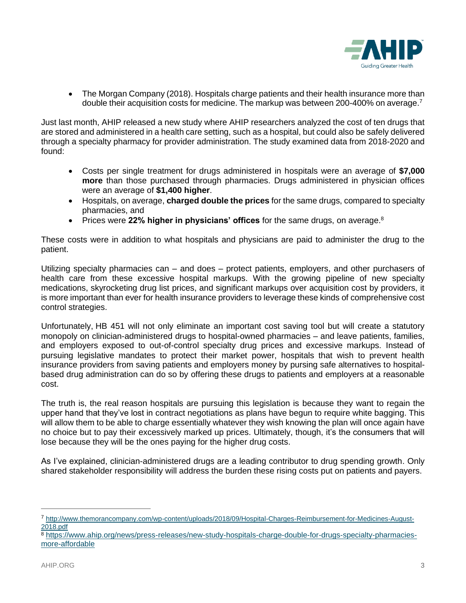

• The Morgan Company (2018). Hospitals charge patients and their health insurance more than double their acquisition costs for medicine. The markup was between 200-400% on average.<sup>7</sup>

Just last month, AHIP released a new study where AHIP researchers analyzed the cost of ten drugs that are stored and administered in a health care setting, such as a hospital, but could also be safely delivered through a specialty pharmacy for provider administration. The study examined data from 2018-2020 and found:

- Costs per single treatment for drugs administered in hospitals were an average of **\$7,000 more** than those purchased through pharmacies. Drugs administered in physician offices were an average of **\$1,400 higher**.
- Hospitals, on average, **charged double the prices** for the same drugs, compared to specialty pharmacies, and
- Prices were 22% higher in physicians' offices for the same drugs, on average.<sup>8</sup>

These costs were in addition to what hospitals and physicians are paid to administer the drug to the patient.

Utilizing specialty pharmacies can – and does – protect patients, employers, and other purchasers of health care from these excessive hospital markups. With the growing pipeline of new specialty medications, skyrocketing drug list prices, and significant markups over acquisition cost by providers, it is more important than ever for health insurance providers to leverage these kinds of comprehensive cost control strategies.

Unfortunately, HB 451 will not only eliminate an important cost saving tool but will create a statutory monopoly on clinician-administered drugs to hospital-owned pharmacies – and leave patients, families, and employers exposed to out-of-control specialty drug prices and excessive markups. Instead of pursuing legislative mandates to protect their market power, hospitals that wish to prevent health insurance providers from saving patients and employers money by pursing safe alternatives to hospitalbased drug administration can do so by offering these drugs to patients and employers at a reasonable cost.

The truth is, the real reason hospitals are pursuing this legislation is because they want to regain the upper hand that they've lost in contract negotiations as plans have begun to require white bagging. This will allow them to be able to charge essentially whatever they wish knowing the plan will once again have no choice but to pay their excessively marked up prices. Ultimately, though, it's the consumers that will lose because they will be the ones paying for the higher drug costs.

As I've explained, clinician-administered drugs are a leading contributor to drug spending growth. Only shared stakeholder responsibility will address the burden these rising costs put on patients and payers.

<sup>7</sup> [http://www.themorancompany.com/wp-content/uploads/2018/09/Hospital-Charges-Reimbursement-for-Medicines-August-](http://www.themorancompany.com/wp-content/uploads/2018/09/Hospital-Charges-Reimbursement-for-Medicines-August-2018.pdf)[2018.pdf](http://www.themorancompany.com/wp-content/uploads/2018/09/Hospital-Charges-Reimbursement-for-Medicines-August-2018.pdf)

<sup>8</sup> [https://www.ahip.org/news/press-releases/new-study-hospitals-charge-double-for-drugs-specialty-pharmacies](https://www.ahip.org/news/press-releases/new-study-hospitals-charge-double-for-drugs-specialty-pharmacies-more-affordable)[more-affordable](https://www.ahip.org/news/press-releases/new-study-hospitals-charge-double-for-drugs-specialty-pharmacies-more-affordable)